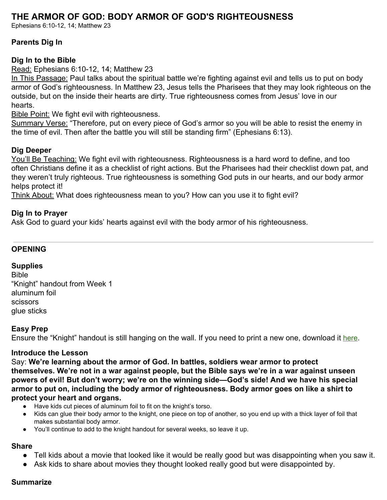# **THE ARMOR OF GOD: BODY ARMOR OF GOD'S RIGHTEOUSNESS**

Ephesians 6:10-12, 14; Matthew 23

### **Parents Dig In**

### **Dig In to the Bible**

Read: Ephesians 6:10-12, 14; Matthew 23

In This Passage: Paul talks about the spiritual battle we're fighting against evil and tells us to put on body armor of God's righteousness. In Matthew 23, Jesus tells the Pharisees that they may look righteous on the outside, but on the inside their hearts are dirty. True righteousness comes from Jesus' love in our hearts.

**Bible Point: We fight evil with righteousness.** 

Summary Verse: "Therefore, put on every piece of God's armor so you will be able to resist the enemy in the time of evil. Then after the battle you will still be standing firm" (Ephesians 6:13).

### **Dig Deeper**

You'll Be Teaching: We fight evil with righteousness. Righteousness is a hard word to define, and too often Christians define it as a checklist of right actions. But the Pharisees had their checklist down pat, and they weren't truly righteous. True righteousness is something God puts in our hearts, and our body armor helps protect it!

Think About: What does righteousness mean to you? How can you use it to fight evil?

### **Dig In to Prayer**

Ask God to guard your kids' hearts against evil with the body armor of his righteousness.

#### **OPENING**

### **Supplies**

Bible "Knight" handout from Week 1 aluminum foil scissors glue sticks

### **Easy Prep**

Ensure the "Knight" handout is still hanging on the wall. If you need to print a new one, download it [here](https://digin-resources.group.com/media/10827/q3_lesson-01_knight_handout.pdf).

### **Introduce the Lesson**

Say: **We're learning about the armor of God. In battles, soldiers wear armor to protect themselves. We're not in a war against people, but the Bible says we're in a war against unseen powers of evil! But don't worry; we're on the winning side—God's side! And we have his special armor to put on, including the body armor of righteousness. Body armor goes on like a shirt to protect your heart and organs.**

- Have kids cut pieces of aluminum foil to fit on the knight's torso.
- Kids can glue their body armor to the knight, one piece on top of another, so you end up with a thick layer of foil that makes substantial body armor.
- You'll continue to add to the knight handout for several weeks, so leave it up.

#### **Share**

- Tell kids about a movie that looked like it would be really good but was disappointing when you saw it.
- Ask kids to share about movies they thought looked really good but were disappointed by.

#### **Summarize**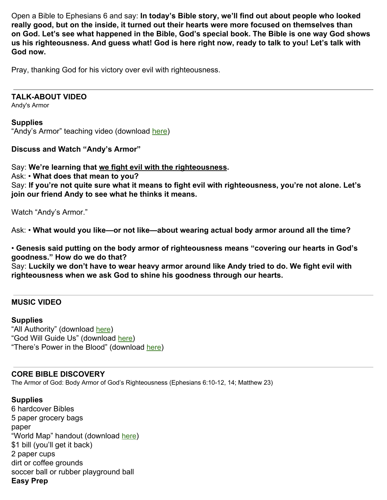Open a Bible to Ephesians 6 and say: **In today's Bible story, we'll find out about people who looked really good, but on the inside, it turned out their hearts were more focused on themselves than on God. Let's see what happened in the Bible, God's special book. The Bible is one way God shows us his righteousness. And guess what! God is here right now, ready to talk to you! Let's talk with God now.**

Pray, thanking God for his victory over evil with righteousness.

### **TALK-ABOUT VIDEO**

Andy's Armor

#### **Supplies**

"Andy's Armor" teaching video (download [here\)](https://vimeo.com/showcase/6359811/video/365090728)

**Discuss and Watch "Andy's Armor"**

Say: **We're learning that we fight evil with the righteousness.**

Ask: • **What does that mean to you?**

Say: **If you're not quite sure what it means to fight evil with righteousness, you're not alone. Let's join our friend Andy to see what he thinks it means.**

Watch "Andy's Armor."

Ask: • **What would you like—or not like—about wearing actual body armor around all the time?**

• **Genesis said putting on the body armor of righteousness means "covering our hearts in God's goodness." How do we do that?**

Say: **Luckily we don't have to wear heavy armor around like Andy tried to do. We fight evil with righteousness when we ask God to shine his goodness through our hearts.**

## **MUSIC VIDEO**

### **Supplies**

"All Authority" (download [here](https://vimeo.com/showcase/6359811/video/365090503)) "God Will Guide Us" (download [here](https://vimeo.com/showcase/6359811/video/365090417)) "There's Power in the Blood" (download [here](https://vimeo.com/showcase/6359811/video/365090468))

### **CORE BIBLE DISCOVERY**

The Armor of God: Body Armor of God's Righteousness (Ephesians 6:10-12, 14; Matthew 23)

### **Supplies**

6 hardcover Bibles 5 paper grocery bags paper "World Map" handout (download [here](https://digin-resources.group.com/media/10831/q3_lesson-02_world-map_handout.pdf)) \$1 bill (you'll get it back) 2 paper cups dirt or coffee grounds soccer ball or rubber playground ball **Easy Prep**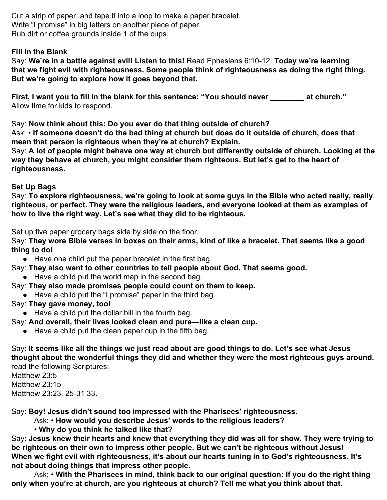Cut a strip of paper, and tape it into a loop to make a paper bracelet. Write "I promise" in big letters on another piece of paper. Rub dirt or coffee grounds inside 1 of the cups.

## **Fill In the Blank**

Say: **We're in a battle against evil! Listen to this!** Read Ephesians 6:10-12. **Today we're learning that we fight evil with righteousness. Some people think of righteousness as doing the right thing. But we're going to explore how it goes beyond that.**

**First, I want you to fill in the blank for this sentence: "You should never \_\_\_\_\_\_\_\_ at church."** Allow time for kids to respond.

Say: **Now think about this: Do you ever do that thing outside of church?**

Ask: • **If someone doesn't do the bad thing at church but does do it outside of church, does that mean that person is righteous when they're at church? Explain.**

Say: **A lot of people might behave one way at church but differently outside of church. Looking at the way they behave at church, you might consider them righteous. But let's get to the heart of righteousness.**

## **Set Up Bags**

Say: **To explore righteousness, we're going to look at some guys in the Bible who acted really, really righteous, or perfect. They were the religious leaders, and everyone looked at them as examples of how to live the right way. Let's see what they did to be righteous.**

Set up five paper grocery bags side by side on the floor.

Say: **They wore Bible verses in boxes on their arms, kind of like a bracelet. That seems like a good thing to do!**

● Have one child put the paper bracelet in the first bag.

- Say: **They also went to other countries to tell people about God. That seems good.**
	- Have a child put the world map in the second bag.

Say: **They also made promises people could count on them to keep.**

● Have a child put the "I promise" paper in the third bag.

# Say: **They gave money, too!**

- Have a child put the dollar bill in the fourth bag.
- Say: **And overall, their lives looked clean and pure—like a clean cup.**
	- Have a child put the clean paper cup in the fifth bag.

Say: **It seems like all the things we just read about are good things to do. Let's see what Jesus thought about the wonderful things they did and whether they were the most righteous guys around.** read the following Scriptures:

Matthew 23:5 Matthew 23:15 Matthew 23:23, 25-31 33.

Say: **Boy! Jesus didn't sound too impressed with the Pharisees' righteousness.**

Ask: • **How would you describe Jesus' words to the religious leaders?**

• **Why do you think he talked like that?**

Say: **Jesus knew their hearts and knew that everything they did was all for show. They were trying to be righteous on their own to impress other people. But we can't be righteous without Jesus! When we fight evil with righteousness, it's about our hearts tuning in to God's righteousness. It's not about doing things that impress other people.**

Ask: • **With the Pharisees in mind, think back to our original question: If you do the right thing only when you're at church, are you righteous at church? Tell me what you think about that.**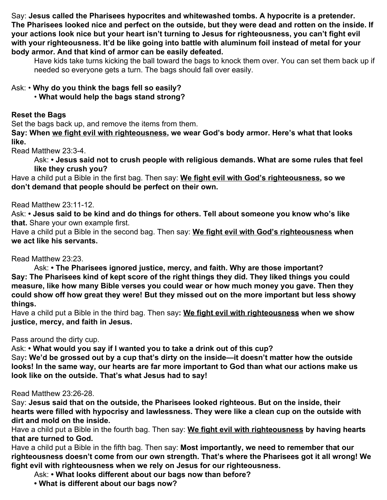Say: **Jesus called the Pharisees hypocrites and whitewashed tombs. A hypocrite is a pretender. The Pharisees looked nice and perfect on the outside, but they were dead and rotten on the inside. If your actions look nice but your heart isn't turning to Jesus for righteousness, you can't fight evil with your righteousness. It'd be like going into battle with aluminum foil instead of metal for your body armor. And that kind of armor can be easily defeated.**

Have kids take turns kicking the ball toward the bags to knock them over. You can set them back up if needed so everyone gets a turn. The bags should fall over easily.

# Ask: • **Why do you think the bags fell so easily?**

• **What would help the bags stand strong?**

## **Reset the Bags**

Set the bags back up, and remove the items from them.

**Say: When we fight evil with righteousness, we wear God's body armor. Here's what that looks like.**

Read Matthew 23:3-4.

Ask: **• Jesus said not to crush people with religious demands. What are some rules that feel like they crush you?**

Have a child put a Bible in the first bag. Then say: **We fight evil with God's righteousness, so we don't demand that people should be perfect on their own.**

## Read Matthew 23:11-12.

Ask: **• Jesus said to be kind and do things for others. Tell about someone you know who's like that.** Share your own example first.

Have a child put a Bible in the second bag. Then say: **We fight evil with God's righteousness when we act like his servants.**

# Read Matthew 23:23.

Ask: **• The Pharisees ignored justice, mercy, and faith. Why are those important? Say: The Pharisees kind of kept score of the right things they did. They liked things you could measure, like how many Bible verses you could wear or how much money you gave. Then they could show off how great they were! But they missed out on the more important but less showy things.**

Have a child put a Bible in the third bag. Then say**: We fight evil with righteousness when we show justice, mercy, and faith in Jesus.**

# Pass around the dirty cup.

Ask: **• What would you say if I wanted you to take a drink out of this cup?**

Say**: We'd be grossed out by a cup that's dirty on the inside—it doesn't matter how the outside looks! In the same way, our hearts are far more important to God than what our actions make us look like on the outside. That's what Jesus had to say!**

# Read Matthew 23:26-28.

Say: **Jesus said that on the outside, the Pharisees looked righteous. But on the inside, their hearts were filled with hypocrisy and lawlessness. They were like a clean cup on the outside with dirt and mold on the inside.**

Have a child put a Bible in the fourth bag. Then say: **We fight evil with righteousness by having hearts that are turned to God.**

Have a child put a Bible in the fifth bag. Then say: **Most importantly, we need to remember that our righteousness doesn't come from our own strength. That's where the Pharisees got it all wrong! We fight evil with righteousness when we rely on Jesus for our righteousness.**

Ask: **• What looks different about our bags now than before?**

**• What is different about our bags now?**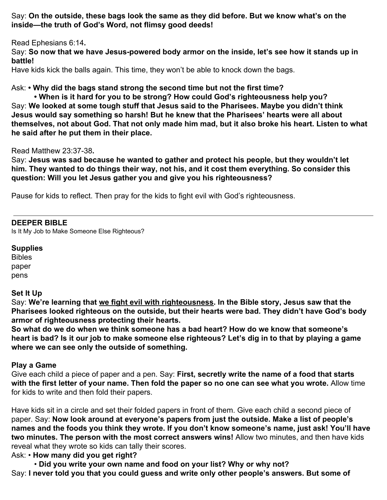Say: **On the outside, these bags look the same as they did before. But we know what's on the inside—the truth of God's Word, not flimsy good deeds!**

Read Ephesians 6:14**.**

Say: **So now that we have Jesus-powered body armor on the inside, let's see how it stands up in battle!**

Have kids kick the balls again. This time, they won't be able to knock down the bags.

Ask: **• Why did the bags stand strong the second time but not the first time?**

**• When is it hard for you to be strong? How could God's righteousness help you?** Say: **We looked at some tough stuff that Jesus said to the Pharisees. Maybe you didn't think Jesus would say something so harsh! But he knew that the Pharisees' hearts were all about themselves, not about God. That not only made him mad, but it also broke his heart. Listen to what he said after he put them in their place.**

Read Matthew 23:37-38**.**

Say: **Jesus was sad because he wanted to gather and protect his people, but they wouldn't let him. They wanted to do things their way, not his, and it cost them everything. So consider this question: Will you let Jesus gather you and give you his righteousness?**

Pause for kids to reflect. Then pray for the kids to fight evil with God's righteousness.

### **DEEPER BIBLE**

Is It My Job to Make Someone Else Righteous?

#### **Supplies**

Bibles paper pens

### **Set It Up**

Say: **We're learning that we fight evil with righteousness. In the Bible story, Jesus saw that the Pharisees looked righteous on the outside, but their hearts were bad. They didn't have God's body armor of righteousness protecting their hearts.**

**So what do we do when we think someone has a bad heart? How do we know that someone's heart is bad? Is it our job to make someone else righteous? Let's dig in to that by playing a game where we can see only the outside of something.**

### **Play a Game**

Give each child a piece of paper and a pen. Say: **First, secretly write the name of a food that starts with the first letter of your name. Then fold the paper so no one can see what you wrote.** Allow time for kids to write and then fold their papers.

Have kids sit in a circle and set their folded papers in front of them. Give each child a second piece of paper. Say: **Now look around at everyone's papers from just the outside. Make a list of people's names and the foods you think they wrote. If you don't know someone's name, just ask! You'll have two minutes. The person with the most correct answers wins!** Allow two minutes, and then have kids reveal what they wrote so kids can tally their scores.

Ask: • **How many did you get right?**

• **Did you write your own name and food on your list? Why or why not?** Say: **I never told you that you could guess and write only other people's answers. But some of**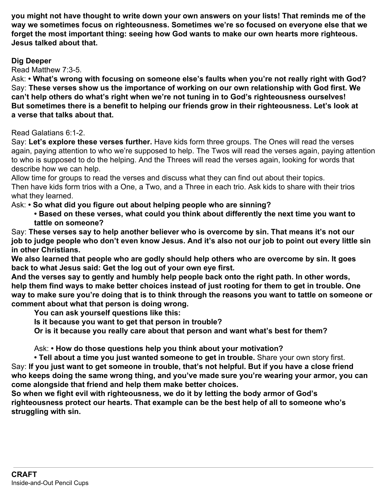**you might not have thought to write down your own answers on your lists! That reminds me of the way we sometimes focus on righteousness. Sometimes we're so focused on everyone else that we forget the most important thing: seeing how God wants to make our own hearts more righteous. Jesus talked about that.**

## **Dig Deeper**

Read Matthew 7:3-5.

Ask: **• What's wrong with focusing on someone else's faults when you're not really right with God?** Say: **These verses show us the importance of working on our own relationship with God first. We can't help others do what's right when we're not tuning in to God's righteousness ourselves! But sometimes there is a benefit to helping our friends grow in their righteousness. Let's look at a verse that talks about that.**

Read Galatians 6:1-2.

Say: **Let's explore these verses further.** Have kids form three groups. The Ones will read the verses again, paying attention to who we're supposed to help. The Twos will read the verses again, paying attention to who is supposed to do the helping. And the Threes will read the verses again, looking for words that describe how we can help.

Allow time for groups to read the verses and discuss what they can find out about their topics. Then have kids form trios with a One, a Two, and a Three in each trio. Ask kids to share with their trios what they learned.

Ask: **• So what did you figure out about helping people who are sinning?**

**• Based on these verses, what could you think about differently the next time you want to tattle on someone?**

Say: **These verses say to help another believer who is overcome by sin. That means it's not our job to judge people who don't even know Jesus. And it's also not our job to point out every little sin in other Christians.**

**We also learned that people who are godly should help others who are overcome by sin. It goes back to what Jesus said: Get the log out of your own eye first.**

**And the verses say to gently and humbly help people back onto the right path. In other words, help them find ways to make better choices instead of just rooting for them to get in trouble. One way to make sure you're doing that is to think through the reasons you want to tattle on someone or comment about what that person is doing wrong.**

**You can ask yourself questions like this:**

**Is it because you want to get that person in trouble?**

**Or is it because you really care about that person and want what's best for them?**

Ask: **• How do those questions help you think about your motivation?**

**• Tell about a time you just wanted someone to get in trouble.** Share your own story first. Say: **If you just want to get someone in trouble, that's not helpful. But if you have a close friend who keeps doing the same wrong thing, and you've made sure you're wearing your armor, you can come alongside that friend and help them make better choices.**

**So when we fight evil with righteousness, we do it by letting the body armor of God's righteousness protect our hearts. That example can be the best help of all to someone who's struggling with sin.**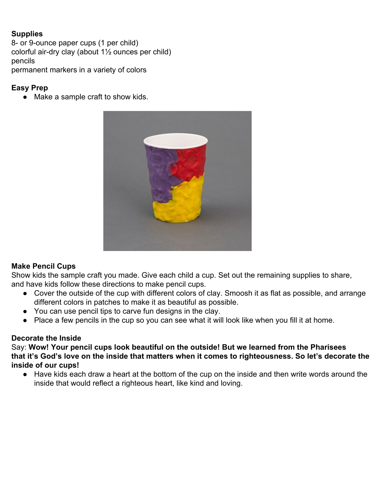## **Supplies**

8- or 9-ounce paper cups (1 per child) colorful air-dry clay (about 1½ ounces per child) pencils permanent markers in a variety of colors

## **Easy Prep**

• Make a sample craft to show kids.



## **Make Pencil Cups**

Show kids the sample craft you made. Give each child a cup. Set out the remaining supplies to share, and have kids follow these directions to make pencil cups.

- Cover the outside of the cup with different colors of clay. Smoosh it as flat as possible, and arrange different colors in patches to make it as beautiful as possible.
- You can use pencil tips to carve fun designs in the clay.
- Place a few pencils in the cup so you can see what it will look like when you fill it at home.

## **Decorate the Inside**

Say: **Wow! Your pencil cups look beautiful on the outside! But we learned from the Pharisees that it's God's love on the inside that matters when it comes to righteousness. So let's decorate the inside of our cups!**

● Have kids each draw a heart at the bottom of the cup on the inside and then write words around the inside that would reflect a righteous heart, like kind and loving.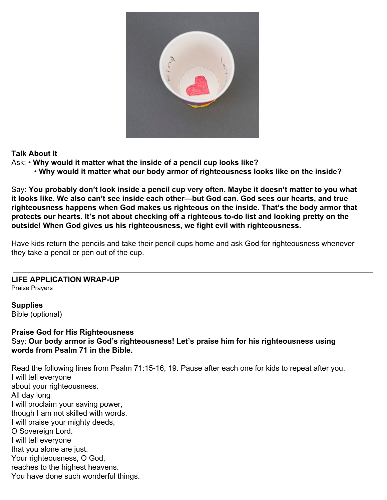

## **Talk About It**

- Ask: **Why would it matter what the inside of a pencil cup looks like?**
	- **Why would it matter what our body armor of righteousness looks like on the inside?**

Say: **You probably don't look inside a pencil cup very often. Maybe it doesn't matter to you what it looks like. We also can't see inside each other—but God can. God sees our hearts, and true righteousness happens when God makes us righteous on the inside. That's the body armor that protects our hearts. It's not about checking off a righteous to-do list and looking pretty on the outside! When God gives us his righteousness, we fight evil with righteousness.**

Have kids return the pencils and take their pencil cups home and ask God for righteousness whenever they take a pencil or pen out of the cup.

#### **LIFE APPLICATION WRAP-UP** Praise Prayers

**Supplies** Bible (optional)

### **Praise God for His Righteousness** Say: **Our body armor is God's righteousness! Let's praise him for his righteousness using words from Psalm 71 in the Bible.**

Read the following lines from Psalm 71:15-16, 19. Pause after each one for kids to repeat after you. I will tell everyone about your righteousness. All day long I will proclaim your saving power, though I am not skilled with words. I will praise your mighty deeds, O Sovereign Lord. I will tell everyone that you alone are just. Your righteousness, O God, reaches to the highest heavens. You have done such wonderful things.